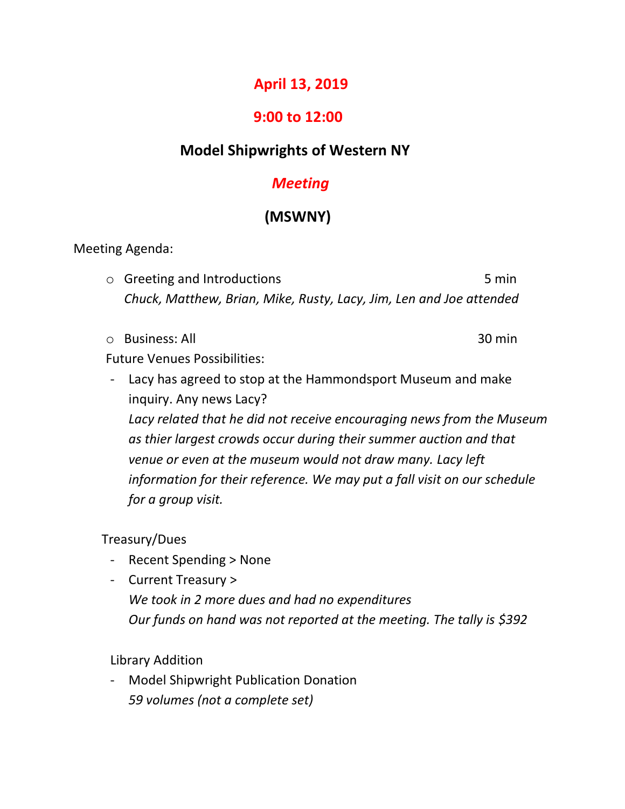## **April 13, 2019**

## **9:00 to 12:00**

# **Model Shipwrights of Western NY**

## *Meeting*

# **(MSWNY)**

Meeting Agenda:

o Greeting and Introductions and introductions of the state of  $5$  min *Chuck, Matthew, Brian, Mike, Rusty, Lacy, Jim, Len and Joe attended*

o Business: All 30 min

Future Venues Possibilities:

- Lacy has agreed to stop at the Hammondsport Museum and make inquiry. Any news Lacy? *Lacy related that he did not receive encouraging news from the Museum as thier largest crowds occur during their summer auction and that venue or even at the museum would not draw many. Lacy left information for their reference. We may put a fall visit on our schedule for a group visit.*

Treasury/Dues

- Recent Spending > None
- Current Treasury > *We took in 2 more dues and had no expenditures Our funds on hand was not reported at the meeting. The tally is \$392*

Library Addition

- Model Shipwright Publication Donation *59 volumes (not a complete set)*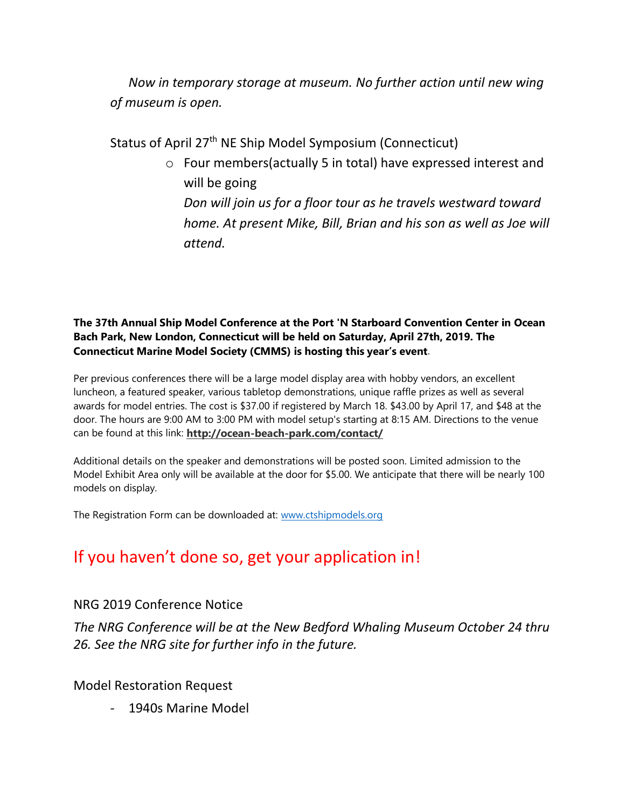*Now in temporary storage at museum. No further action until new wing of museum is open.*

Status of April 27<sup>th</sup> NE Ship Model Symposium (Connecticut)

o Four members(actually 5 in total) have expressed interest and will be going *Don will join us for a floor tour as he travels westward toward home. At present Mike, Bill, Brian and his son as well as Joe will attend.*

#### **The 37th Annual Ship Model Conference at the Port 'N Starboard Convention Center in Ocean Bach Park, New London, Connecticut will be held on Saturday, April 27th, 2019. The Connecticut Marine Model Society (CMMS) is hosting this year's event**.

Per previous conferences there will be a large model display area with hobby vendors, an excellent luncheon, a featured speaker, various tabletop demonstrations, unique raffle prizes as well as several awards for model entries. The cost is \$37.00 if registered by March 18. \$43.00 by April 17, and \$48 at the door. The hours are 9:00 AM to 3:00 PM with model setup's starting at 8:15 AM. Directions to the venue can be found at this link: **<http://ocean-beach-park.com/contact/>**

Additional details on the speaker and demonstrations will be posted soon. Limited admission to the Model Exhibit Area only will be available at the door for \$5.00. We anticipate that there will be nearly 100 models on display.

The Registration Form can be downloaded at: [www.ctshipmodels.org](http://www.ctshipmodels.org/)

# If you haven't done so, get your application in!

### NRG 2019 Conference Notice

*The NRG Conference will be at the New Bedford Whaling Museum October 24 thru 26. See the NRG site for further info in the future.*

Model Restoration Request

- 1940s Marine Model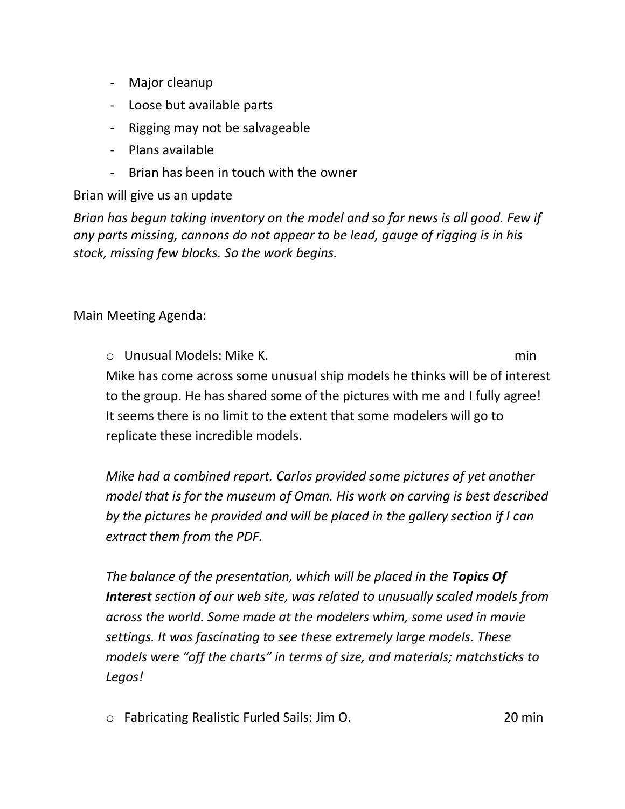- Major cleanup
- Loose but available parts
- Rigging may not be salvageable
- Plans available
- Brian has been in touch with the owner

Brian will give us an update

*Brian has begun taking inventory on the model and so far news is all good. Few if any parts missing, cannons do not appear to be lead, gauge of rigging is in his stock, missing few blocks. So the work begins.*

Main Meeting Agenda:

o Unusual Models: Mike K. min Mike has come across some unusual ship models he thinks will be of interest to the group. He has shared some of the pictures with me and I fully agree! It seems there is no limit to the extent that some modelers will go to replicate these incredible models.

*Mike had a combined report. Carlos provided some pictures of yet another model that is for the museum of Oman. His work on carving is best described by the pictures he provided and will be placed in the gallery section if I can extract them from the PDF.*

*The balance of the presentation, which will be placed in the Topics Of Interest section of our web site, was related to unusually scaled models from across the world. Some made at the modelers whim, some used in movie settings. It was fascinating to see these extremely large models. These models were "off the charts" in terms of size, and materials; matchsticks to Legos!*

o Fabricating Realistic Furled Sails: Jim O. 20 min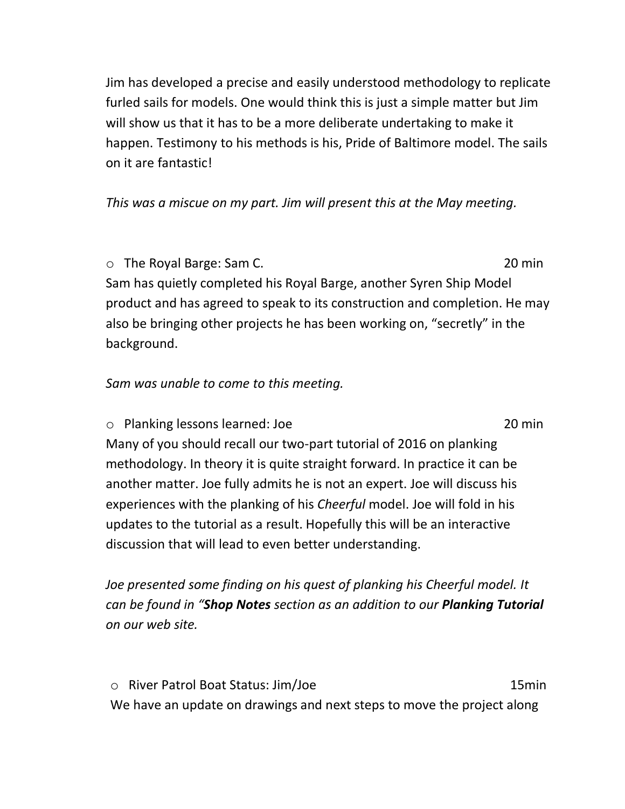Jim has developed a precise and easily understood methodology to replicate furled sails for models. One would think this is just a simple matter but Jim will show us that it has to be a more deliberate undertaking to make it happen. Testimony to his methods is his, Pride of Baltimore model. The sails on it are fantastic!

### *This was a miscue on my part. Jim will present this at the May meeting.*

o The Royal Barge: Sam C. 20 min Sam has quietly completed his Royal Barge, another Syren Ship Model product and has agreed to speak to its construction and completion. He may also be bringing other projects he has been working on, "secretly" in the background.

### *Sam was unable to come to this meeting.*

o Planking lessons learned: Joe 20 min Many of you should recall our two-part tutorial of 2016 on planking methodology. In theory it is quite straight forward. In practice it can be another matter. Joe fully admits he is not an expert. Joe will discuss his experiences with the planking of his *Cheerful* model. Joe will fold in his updates to the tutorial as a result. Hopefully this will be an interactive discussion that will lead to even better understanding.

*Joe presented some finding on his quest of planking his Cheerful model. It can be found in "Shop Notes section as an addition to our Planking Tutorial on our web site.*

o River Patrol Boat Status: Jim/Joe 15min We have an update on drawings and next steps to move the project along